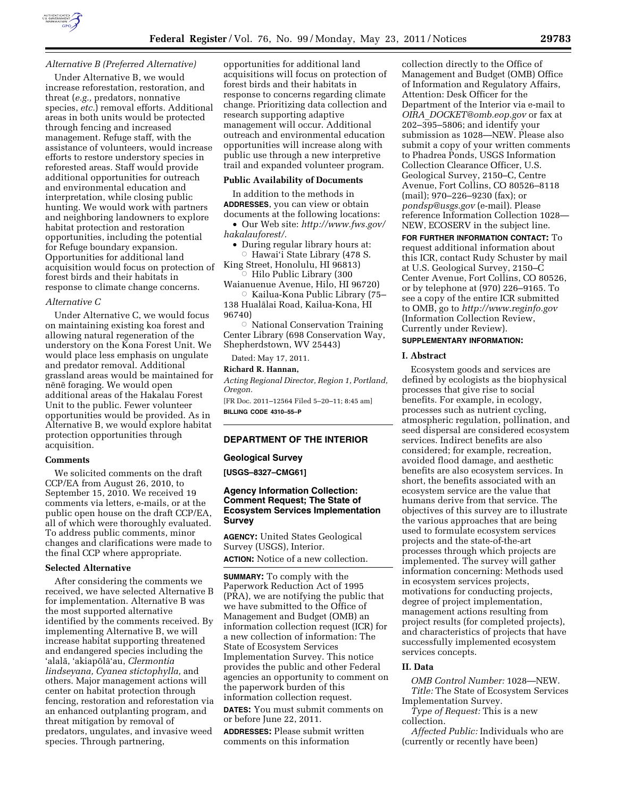

# *Alternative B (Preferred Alternative)*

Under Alternative B, we would increase reforestation, restoration, and threat (*e.g.,* predators, nonnative species, *etc.*) removal efforts. Additional areas in both units would be protected through fencing and increased management. Refuge staff, with the assistance of volunteers, would increase efforts to restore understory species in reforested areas. Staff would provide additional opportunities for outreach and environmental education and interpretation, while closing public hunting. We would work with partners and neighboring landowners to explore habitat protection and restoration opportunities, including the potential for Refuge boundary expansion. Opportunities for additional land acquisition would focus on protection of forest birds and their habitats in response to climate change concerns.

#### *Alternative C*

Under Alternative C, we would focus on maintaining existing koa forest and allowing natural regeneration of the understory on the Kona Forest Unit. We would place less emphasis on ungulate and predator removal. Additional grassland areas would be maintained for nēnē foraging. We would open additional areas of the Hakalau Forest Unit to the public. Fewer volunteer opportunities would be provided. As in Alternative B, we would explore habitat protection opportunities through acquisition.

## **Comments**

We solicited comments on the draft CCP/EA from August 26, 2010, to September 15, 2010. We received 19 comments via letters, e-mails, or at the public open house on the draft CCP/EA, all of which were thoroughly evaluated. To address public comments, minor changes and clarifications were made to the final CCP where appropriate.

#### **Selected Alternative**

After considering the comments we received, we have selected Alternative B for implementation. Alternative B was the most supported alternative identified by the comments received. By implementing Alternative B, we will increase habitat supporting threatened and endangered species including the 'alala¯, 'akiapo¯la¯'au, *Clermontia lindseyana, Cyanea stictophylla,* and others. Major management actions will center on habitat protection through fencing, restoration and reforestation via an enhanced outplanting program, and threat mitigation by removal of predators, ungulates, and invasive weed species. Through partnering,

opportunities for additional land acquisitions will focus on protection of forest birds and their habitats in response to concerns regarding climate change. Prioritizing data collection and research supporting adaptive management will occur. Additional outreach and environmental education opportunities will increase along with public use through a new interpretive trail and expanded volunteer program.

## **Public Availability of Documents**

In addition to the methods in **ADDRESSES**, you can view or obtain documents at the following locations:

• Our Web site: *[http://www.fws.gov/](http://www.fws.gov/hakalauforest/)  [hakalauforest/.](http://www.fws.gov/hakalauforest/)* 

• During regular library hours at:  $\circ$  Hawaiʻi State Library (478 S.

King Street, Honolulu, HI 96813)  $\circ$  Hilo Public Library (300

Waianuenue Avenue, Hilo, HI 96720) ÆKailua-Kona Public Library (75–

138 Hualālai Road, Kailua-Kona, HI 96740)

 $\circ$  National Conservation Training Center Library (698 Conservation Way, Shepherdstown, WV 25443)

Dated: May 17, 2011.

# **Richard R. Hannan,**

*Acting Regional Director, Region 1, Portland, Oregon.* 

[FR Doc. 2011–12564 Filed 5–20–11; 8:45 am] **BILLING CODE 4310–55–P** 

## **DEPARTMENT OF THE INTERIOR**

#### **Geological Survey**

**[USGS–8327–CMG61]** 

## **Agency Information Collection: Comment Request; The State of Ecosystem Services Implementation Survey**

**AGENCY:** United States Geological Survey (USGS), Interior.

**ACTION:** Notice of a new collection.

**SUMMARY:** To comply with the Paperwork Reduction Act of 1995 (PRA), we are notifying the public that we have submitted to the Office of Management and Budget (OMB) an information collection request (ICR) for a new collection of information: The State of Ecosystem Services Implementation Survey. This notice provides the public and other Federal agencies an opportunity to comment on the paperwork burden of this information collection request.

**DATES:** You must submit comments on or before June 22, 2011.

**ADDRESSES:** Please submit written comments on this information

collection directly to the Office of Management and Budget (OMB) Office of Information and Regulatory Affairs, Attention: Desk Officer for the Department of the Interior via e-mail to *OIRA*\_*[DOCKET@omb.eop.gov](mailto:OIRA_DOCKET@omb.eop.gov)* or fax at 202–395–5806; and identify your submission as 1028—NEW. Please also submit a copy of your written comments to Phadrea Ponds, USGS Information Collection Clearance Officer, U.S. Geological Survey, 2150–C, Centre Avenue, Fort Collins, CO 80526–8118 (mail); 970–226–9230 (fax); or *[pondsp@usgs.gov](mailto:pondsp@usgs.gov)* (e-mail). Please reference Information Collection 1028— NEW, ECOSERV in the subject line.

**FOR FURTHER INFORMATION CONTACT:** To request additional information about this ICR, contact Rudy Schuster by mail at U.S. Geological Survey, 2150–C Center Avenue, Fort Collins, CO 80526, or by telephone at (970) 226–9165. To see a copy of the entire ICR submitted to OMB, go to *<http://www.reginfo.gov>*  (Information Collection Review, Currently under Review).

#### **SUPPLEMENTARY INFORMATION:**

## **I. Abstract**

Ecosystem goods and services are defined by ecologists as the biophysical processes that give rise to social benefits. For example, in ecology, processes such as nutrient cycling, atmospheric regulation, pollination, and seed dispersal are considered ecosystem services. Indirect benefits are also considered; for example, recreation, avoided flood damage, and aesthetic benefits are also ecosystem services. In short, the benefits associated with an ecosystem service are the value that humans derive from that service. The objectives of this survey are to illustrate the various approaches that are being used to formulate ecosystem services projects and the state-of-the-art processes through which projects are implemented. The survey will gather information concerning: Methods used in ecosystem services projects, motivations for conducting projects, degree of project implementation, management actions resulting from project results (for completed projects), and characteristics of projects that have successfully implemented ecosystem services concepts.

## **II. Data**

*OMB Control Number:* 1028—NEW. *Title:* The State of Ecosystem Services

Implementation Survey. *Type of Request:* This is a new collection.

*Affected Public:* Individuals who are (currently or recently have been)